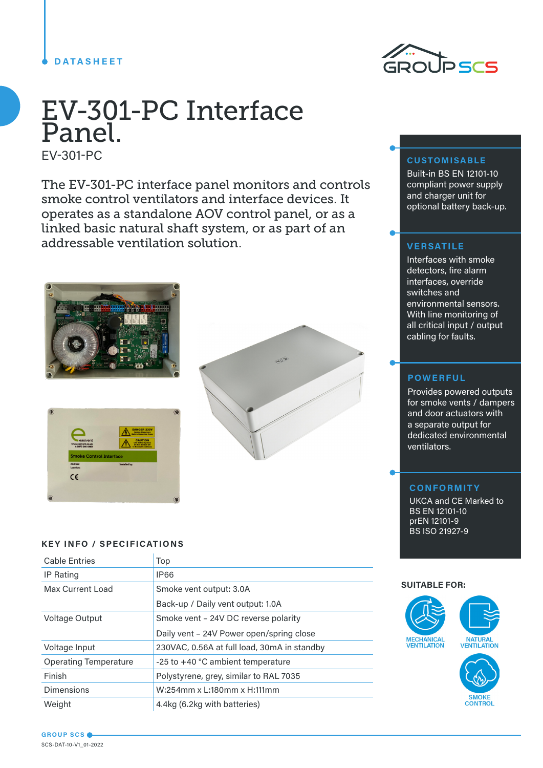# **DATASHEET**



# EV-301-PC Interface Panel.

EV-301-PC

The EV-301-PC interface panel monitors and controls smoke control ventilators and interface devices. It operates as a standalone AOV control panel, or as a linked basic natural shaft system, or as part of an addressable ventilation solution.







### **KEY INFO / SPECIFICATIONS**

| <b>Cable Entries</b>         | Top                                         |
|------------------------------|---------------------------------------------|
| <b>IP Rating</b>             | <b>IP66</b>                                 |
| Max Current Load             | Smoke vent output: 3.0A                     |
|                              | Back-up / Daily vent output: 1.0A           |
| Voltage Output               | Smoke vent – 24V DC reverse polarity        |
|                              | Daily vent - 24V Power open/spring close    |
| Voltage Input                | 230VAC, 0.56A at full load, 30mA in standby |
| <b>Operating Temperature</b> | $-25$ to $+40$ °C ambient temperature       |
| Finish                       | Polystyrene, grey, similar to RAL 7035      |
| <b>Dimensions</b>            | W:254mm x L:180mm x H:111mm                 |
| Weight                       | 4.4kg (6.2kg with batteries)                |

# **CUSTOMISABLE**

Built-in BS EN 12101-10 compliant power supply and charger unit for optional battery back-up.

#### **VERSATILE**

Interfaces with smoke detectors, fire alarm interfaces, override switches and environmental sensors. With line monitoring of all critical input / output cabling for faults.

#### **POWERFUL**

Provides powered outputs for smoke vents / dampers and door actuators with a separate output for dedicated environmental ventilators.

### **CONFORMITY**

UKCA and CE Marked to BS EN 12101-10 prEN 12101-9 BS ISO 21927-9

#### **SUITABLE FOR:**